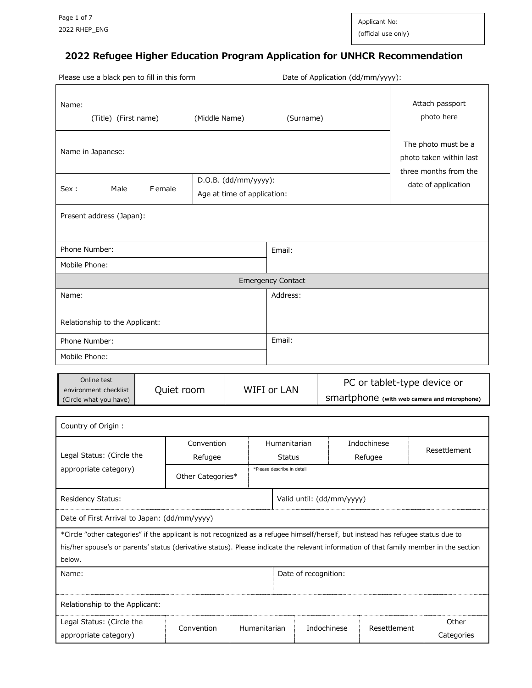Applicant No: (official use only)

# **2022 Refugee Higher Education Program Application for UNHCR Recommendation**

|                                                                                                                                                                                                                                                                                       | Date of Application (dd/mm/yyyy):<br>Please use a black pen to fill in this form |                                                       |                               |           |                      |                        |                                                                            |
|---------------------------------------------------------------------------------------------------------------------------------------------------------------------------------------------------------------------------------------------------------------------------------------|----------------------------------------------------------------------------------|-------------------------------------------------------|-------------------------------|-----------|----------------------|------------------------|----------------------------------------------------------------------------|
| Name:<br>(Title) (First name)                                                                                                                                                                                                                                                         | (Middle Name)                                                                    |                                                       |                               | (Surname) |                      |                        | Attach passport<br>photo here                                              |
| Name in Japanese:                                                                                                                                                                                                                                                                     |                                                                                  |                                                       |                               |           |                      |                        | The photo must be a<br>photo taken within last<br>three months from the    |
| Male<br>F emale<br>Sex :                                                                                                                                                                                                                                                              |                                                                                  | $D.O.B.$ (dd/mm/yyyy):<br>Age at time of application: |                               |           |                      | date of application    |                                                                            |
| Present address (Japan):                                                                                                                                                                                                                                                              |                                                                                  |                                                       |                               |           |                      |                        |                                                                            |
|                                                                                                                                                                                                                                                                                       |                                                                                  |                                                       |                               |           |                      |                        |                                                                            |
| Phone Number:<br>Mobile Phone:                                                                                                                                                                                                                                                        |                                                                                  |                                                       | Email:                        |           |                      |                        |                                                                            |
|                                                                                                                                                                                                                                                                                       |                                                                                  |                                                       | <b>Emergency Contact</b>      |           |                      |                        |                                                                            |
| Name:                                                                                                                                                                                                                                                                                 |                                                                                  |                                                       | Address:                      |           |                      |                        |                                                                            |
| Relationship to the Applicant:                                                                                                                                                                                                                                                        |                                                                                  |                                                       |                               |           |                      |                        |                                                                            |
| Phone Number:                                                                                                                                                                                                                                                                         |                                                                                  |                                                       | Email:                        |           |                      |                        |                                                                            |
| Mobile Phone:                                                                                                                                                                                                                                                                         |                                                                                  |                                                       |                               |           |                      |                        |                                                                            |
| Online test<br>environment checklist<br>(Circle what you have)                                                                                                                                                                                                                        | Quiet room                                                                       |                                                       | WIFI or LAN                   |           |                      |                        | PC or tablet-type device or<br>SMartphone (with web camera and microphone) |
| Country of Origin :                                                                                                                                                                                                                                                                   |                                                                                  |                                                       |                               |           |                      |                        |                                                                            |
| Legal Status: (Circle the                                                                                                                                                                                                                                                             | Convention<br>Refugee                                                            |                                                       | Humanitarian<br><b>Status</b> |           |                      | Indochinese<br>Refugee | Resettlement                                                               |
| appropriate category)                                                                                                                                                                                                                                                                 | *Please describe in detail<br>Other Categories*                                  |                                                       |                               |           |                      |                        |                                                                            |
| Residency Status:<br>Valid until: (dd/mm/yyyy)                                                                                                                                                                                                                                        |                                                                                  |                                                       |                               |           |                      |                        |                                                                            |
| Date of First Arrival to Japan: (dd/mm/yyyy)                                                                                                                                                                                                                                          |                                                                                  |                                                       |                               |           |                      |                        |                                                                            |
| *Circle "other categories" if the applicant is not recognized as a refugee himself/herself, but instead has refugee status due to<br>his/her spouse's or parents' status (derivative status). Please indicate the relevant information of that family member in the section<br>below. |                                                                                  |                                                       |                               |           |                      |                        |                                                                            |
| Name:                                                                                                                                                                                                                                                                                 |                                                                                  |                                                       |                               |           | Date of recognition: |                        |                                                                            |
|                                                                                                                                                                                                                                                                                       |                                                                                  |                                                       |                               |           |                      |                        |                                                                            |
| Relationship to the Applicant:                                                                                                                                                                                                                                                        |                                                                                  |                                                       |                               |           |                      |                        |                                                                            |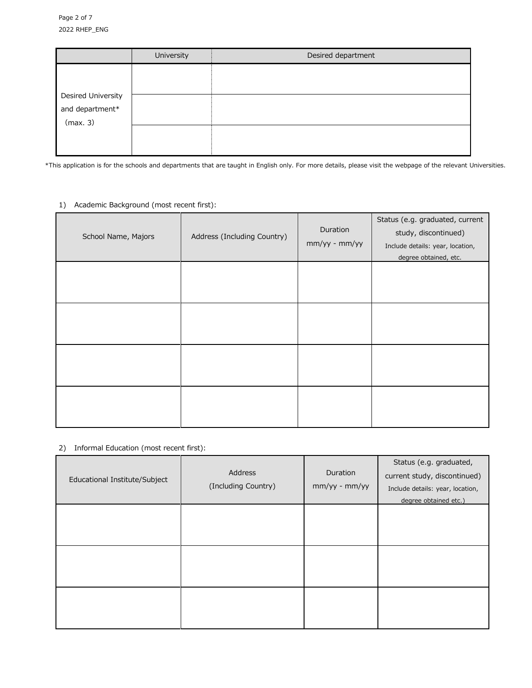|                    | University | Desired department |
|--------------------|------------|--------------------|
|                    |            |                    |
|                    |            |                    |
| Desired University |            |                    |
| and department*    |            |                    |
| (max. 3)           |            |                    |
|                    |            |                    |
|                    |            |                    |
|                    |            |                    |

\*This application is for the schools and departments that are taught in English only. For more details, please visit the webpage of the relevant Universities.

## 1) Academic Background (most recent first):

| School Name, Majors | Address (Including Country) | Duration<br>mm/yy - mm/yy | Status (e.g. graduated, current<br>study, discontinued)<br>Include details: year, location,<br>degree obtained, etc. |
|---------------------|-----------------------------|---------------------------|----------------------------------------------------------------------------------------------------------------------|
|                     |                             |                           |                                                                                                                      |
|                     |                             |                           |                                                                                                                      |
|                     |                             |                           |                                                                                                                      |
|                     |                             |                           |                                                                                                                      |

## 2) Informal Education (most recent first):

| Educational Institute/Subject | Address<br>(Including Country) | Duration<br>mm/yy - mm/yy | Status (e.g. graduated,<br>current study, discontinued)<br>Include details: year, location,<br>degree obtained etc.) |
|-------------------------------|--------------------------------|---------------------------|----------------------------------------------------------------------------------------------------------------------|
|                               |                                |                           |                                                                                                                      |
|                               |                                |                           |                                                                                                                      |
|                               |                                |                           |                                                                                                                      |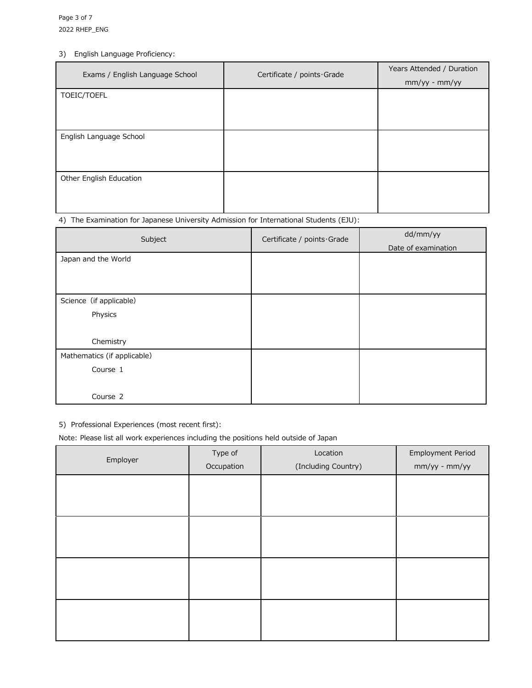## 3) English Language Proficiency:

| Exams / English Language School | Certificate / points · Grade |                 |
|---------------------------------|------------------------------|-----------------|
|                                 |                              | $mm/yy - mm/yy$ |
| TOEIC/TOEFL                     |                              |                 |
|                                 |                              |                 |
|                                 |                              |                 |
| English Language School         |                              |                 |
|                                 |                              |                 |
|                                 |                              |                 |
| Other English Education         |                              |                 |
|                                 |                              |                 |
|                                 |                              |                 |

### 4) The Examination for Japanese University Admission for International Students (EJU):

| Subject                     | Certificate / points Grade | dd/mm/yy            |
|-----------------------------|----------------------------|---------------------|
|                             |                            | Date of examination |
| Japan and the World         |                            |                     |
|                             |                            |                     |
|                             |                            |                     |
| Science (if applicable)     |                            |                     |
| Physics                     |                            |                     |
|                             |                            |                     |
| Chemistry                   |                            |                     |
| Mathematics (if applicable) |                            |                     |
| Course 1                    |                            |                     |
|                             |                            |                     |
| Course 2                    |                            |                     |

5) Professional Experiences (most recent first):

Note: Please list all work experiences including the positions held outside of Japan

| Employer | Type of<br>Occupation | Location<br>(Including Country) | <b>Employment Period</b><br>mm/yy - mm/yy |
|----------|-----------------------|---------------------------------|-------------------------------------------|
|          |                       |                                 |                                           |
|          |                       |                                 |                                           |
|          |                       |                                 |                                           |
|          |                       |                                 |                                           |
|          |                       |                                 |                                           |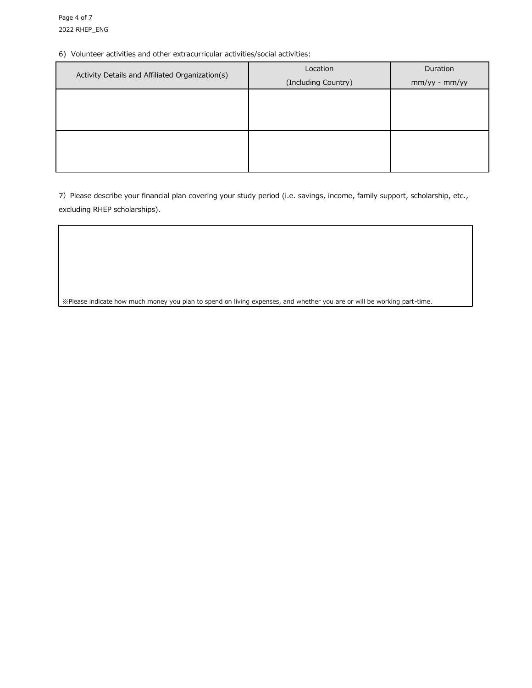#### 6) Volunteer activities and other extracurricular activities/social activities:

| Activity Details and Affiliated Organization(s) | Location            | Duration      |
|-------------------------------------------------|---------------------|---------------|
|                                                 | (Including Country) | mm/yy - mm/yy |
|                                                 |                     |               |
|                                                 |                     |               |
|                                                 |                     |               |
|                                                 |                     |               |
|                                                 |                     |               |
|                                                 |                     |               |

7) Please describe your financial plan covering your study period (i.e. savings, income, family support, scholarship, etc., excluding RHEP scholarships).

※Please indicate how much money you plan to spend on living expenses, and whether you are or will be working part-time.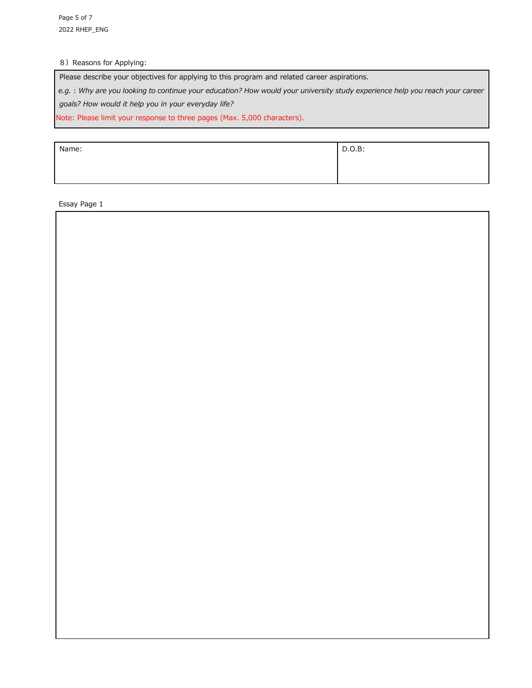### 8) Reasons for Applying:

Please describe your objectives for applying to this program and related career aspirations.

*e.g.:Why are you looking to continue your education? How would your university study experience help you reach your career* 

*goals? How would it help you in your everyday life?*

Note: Please limit your response to three pages (Max. 5,000 characters).

| Name: | D.O.B: |
|-------|--------|
|       |        |
|       |        |

Essay Page 1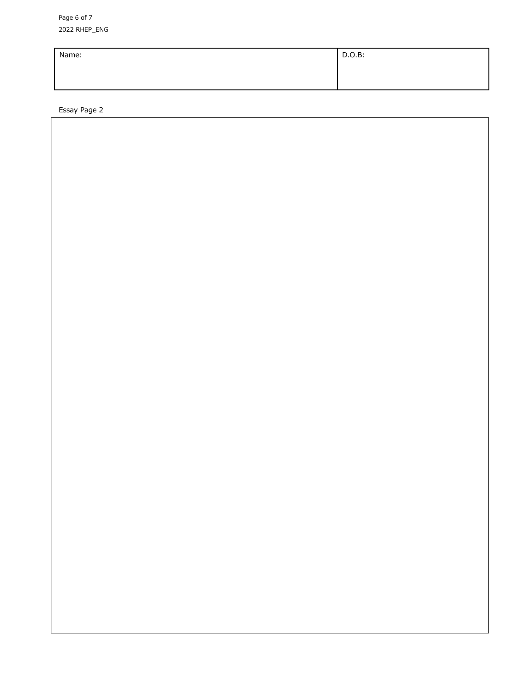Page 6 of 7 202 2 RHEP\_ENG

| Name: | D.O.B: |
|-------|--------|
|       |        |
|       |        |

Essay Page 2